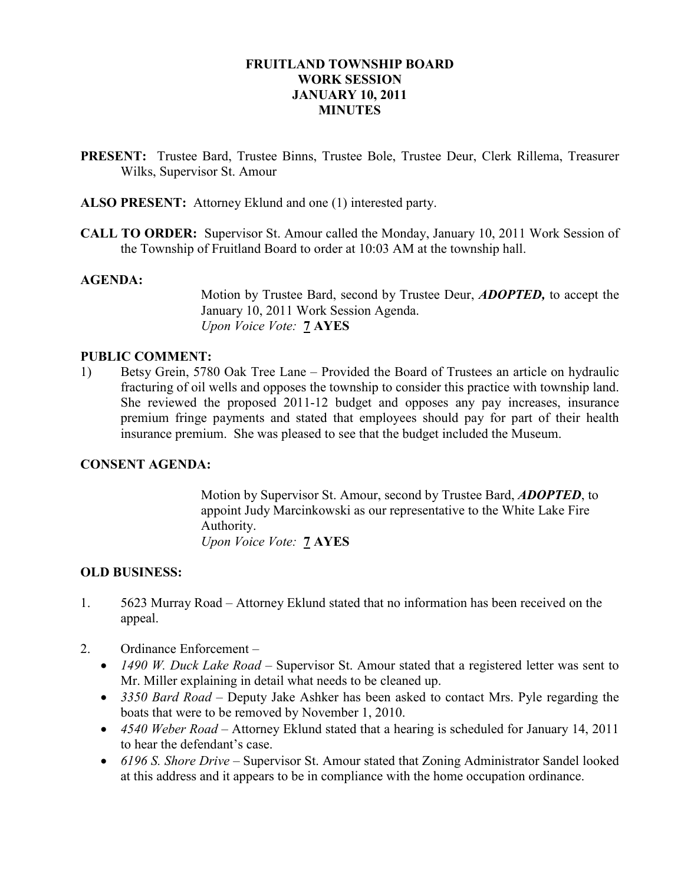## FRUITLAND TOWNSHIP BOARD WORK SESSION JANUARY 10, 2011 **MINUTES**

- PRESENT: Trustee Bard, Trustee Binns, Trustee Bole, Trustee Deur, Clerk Rillema, Treasurer Wilks, Supervisor St. Amour
- ALSO PRESENT: Attorney Eklund and one (1) interested party.
- CALL TO ORDER: Supervisor St. Amour called the Monday, January 10, 2011 Work Session of the Township of Fruitland Board to order at 10:03 AM at the township hall.

#### AGENDA:

Motion by Trustee Bard, second by Trustee Deur, ADOPTED, to accept the January 10, 2011 Work Session Agenda. Upon Voice Vote: 7 AYES

### PUBLIC COMMENT:

1) Betsy Grein, 5780 Oak Tree Lane – Provided the Board of Trustees an article on hydraulic fracturing of oil wells and opposes the township to consider this practice with township land. She reviewed the proposed 2011-12 budget and opposes any pay increases, insurance premium fringe payments and stated that employees should pay for part of their health insurance premium. She was pleased to see that the budget included the Museum.

#### CONSENT AGENDA:

 Motion by Supervisor St. Amour, second by Trustee Bard, ADOPTED, to appoint Judy Marcinkowski as our representative to the White Lake Fire Authority. Upon Voice Vote: **7 AYES** 

#### OLD BUSINESS:

- 1. 5623 Murray Road Attorney Eklund stated that no information has been received on the appeal.
- 2. Ordinance Enforcement
	- 1490 W. Duck Lake Road Supervisor St. Amour stated that a registered letter was sent to Mr. Miller explaining in detail what needs to be cleaned up.
	- 3350 Bard Road Deputy Jake Ashker has been asked to contact Mrs. Pyle regarding the boats that were to be removed by November 1, 2010.
	- 4540 Weber Road Attorney Eklund stated that a hearing is scheduled for January 14, 2011 to hear the defendant's case.
	- 6196 S. Shore Drive Supervisor St. Amour stated that Zoning Administrator Sandel looked at this address and it appears to be in compliance with the home occupation ordinance.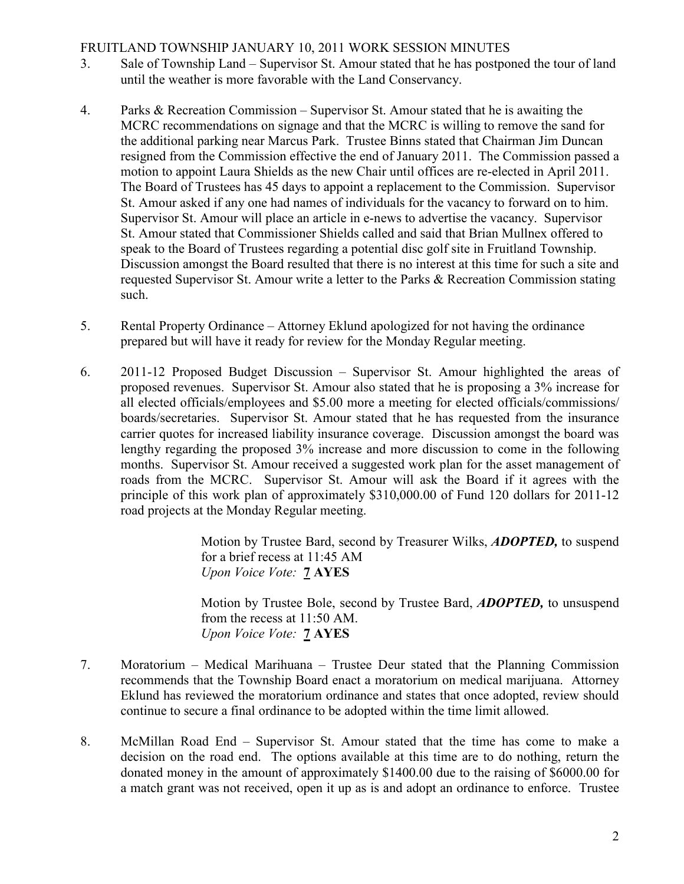# FRUITLAND TOWNSHIP JANUARY 10, 2011 WORK SESSION MINUTES

- 3. Sale of Township Land Supervisor St. Amour stated that he has postponed the tour of land until the weather is more favorable with the Land Conservancy.
- 4. Parks & Recreation Commission Supervisor St. Amour stated that he is awaiting the MCRC recommendations on signage and that the MCRC is willing to remove the sand for the additional parking near Marcus Park. Trustee Binns stated that Chairman Jim Duncan resigned from the Commission effective the end of January 2011. The Commission passed a motion to appoint Laura Shields as the new Chair until offices are re-elected in April 2011. The Board of Trustees has 45 days to appoint a replacement to the Commission. Supervisor St. Amour asked if any one had names of individuals for the vacancy to forward on to him. Supervisor St. Amour will place an article in e-news to advertise the vacancy. Supervisor St. Amour stated that Commissioner Shields called and said that Brian Mullnex offered to speak to the Board of Trustees regarding a potential disc golf site in Fruitland Township. Discussion amongst the Board resulted that there is no interest at this time for such a site and requested Supervisor St. Amour write a letter to the Parks & Recreation Commission stating such.
- 5. Rental Property Ordinance Attorney Eklund apologized for not having the ordinance prepared but will have it ready for review for the Monday Regular meeting.
- 6. 2011-12 Proposed Budget Discussion Supervisor St. Amour highlighted the areas of proposed revenues. Supervisor St. Amour also stated that he is proposing a 3% increase for all elected officials/employees and \$5.00 more a meeting for elected officials/commissions/ boards/secretaries. Supervisor St. Amour stated that he has requested from the insurance carrier quotes for increased liability insurance coverage. Discussion amongst the board was lengthy regarding the proposed 3% increase and more discussion to come in the following months. Supervisor St. Amour received a suggested work plan for the asset management of roads from the MCRC. Supervisor St. Amour will ask the Board if it agrees with the principle of this work plan of approximately \$310,000.00 of Fund 120 dollars for 2011-12 road projects at the Monday Regular meeting.

 Motion by Trustee Bard, second by Treasurer Wilks, ADOPTED, to suspend for a brief recess at 11:45 AM Upon Voice Vote: 7 AYES

 Motion by Trustee Bole, second by Trustee Bard, ADOPTED, to unsuspend from the recess at 11:50 AM. Upon Voice Vote: 7 AYES

- 7. Moratorium Medical Marihuana Trustee Deur stated that the Planning Commission recommends that the Township Board enact a moratorium on medical marijuana. Attorney Eklund has reviewed the moratorium ordinance and states that once adopted, review should continue to secure a final ordinance to be adopted within the time limit allowed.
- 8. McMillan Road End Supervisor St. Amour stated that the time has come to make a decision on the road end. The options available at this time are to do nothing, return the donated money in the amount of approximately \$1400.00 due to the raising of \$6000.00 for a match grant was not received, open it up as is and adopt an ordinance to enforce. Trustee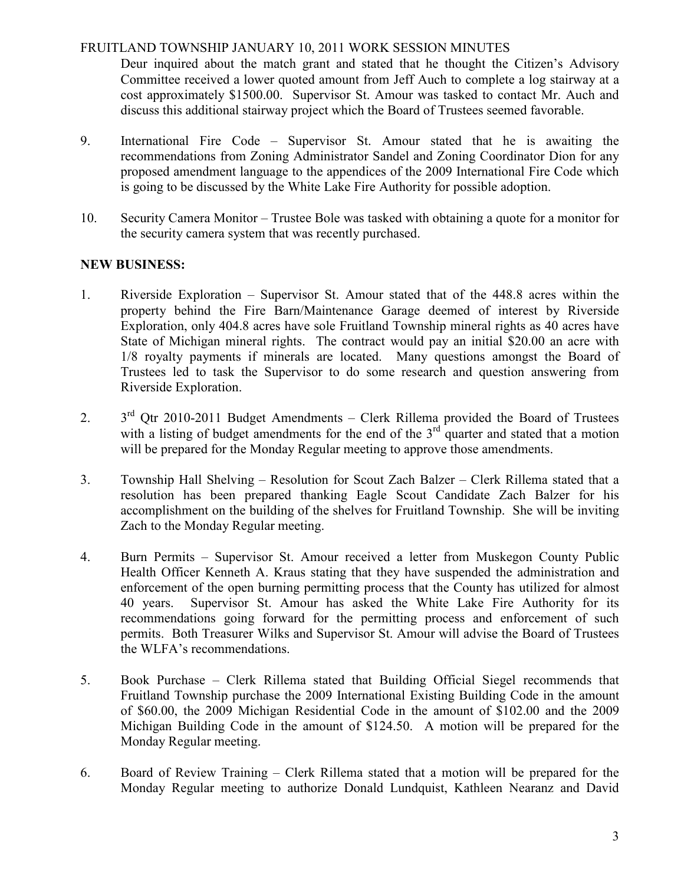# FRUITLAND TOWNSHIP JANUARY 10, 2011 WORK SESSION MINUTES

 Deur inquired about the match grant and stated that he thought the Citizen's Advisory Committee received a lower quoted amount from Jeff Auch to complete a log stairway at a cost approximately \$1500.00. Supervisor St. Amour was tasked to contact Mr. Auch and discuss this additional stairway project which the Board of Trustees seemed favorable.

- 9. International Fire Code Supervisor St. Amour stated that he is awaiting the recommendations from Zoning Administrator Sandel and Zoning Coordinator Dion for any proposed amendment language to the appendices of the 2009 International Fire Code which is going to be discussed by the White Lake Fire Authority for possible adoption.
- 10. Security Camera Monitor Trustee Bole was tasked with obtaining a quote for a monitor for the security camera system that was recently purchased.

# NEW BUSINESS:

- 1. Riverside Exploration Supervisor St. Amour stated that of the 448.8 acres within the property behind the Fire Barn/Maintenance Garage deemed of interest by Riverside Exploration, only 404.8 acres have sole Fruitland Township mineral rights as 40 acres have State of Michigan mineral rights. The contract would pay an initial \$20.00 an acre with 1/8 royalty payments if minerals are located. Many questions amongst the Board of Trustees led to task the Supervisor to do some research and question answering from Riverside Exploration.
- 2. 3<sup>rd</sup> Qtr 2010-2011 Budget Amendments Clerk Rillema provided the Board of Trustees with a listing of budget amendments for the end of the  $3<sup>rd</sup>$  quarter and stated that a motion will be prepared for the Monday Regular meeting to approve those amendments.
- 3. Township Hall Shelving Resolution for Scout Zach Balzer Clerk Rillema stated that a resolution has been prepared thanking Eagle Scout Candidate Zach Balzer for his accomplishment on the building of the shelves for Fruitland Township. She will be inviting Zach to the Monday Regular meeting.
- 4. Burn Permits Supervisor St. Amour received a letter from Muskegon County Public Health Officer Kenneth A. Kraus stating that they have suspended the administration and enforcement of the open burning permitting process that the County has utilized for almost 40 years. Supervisor St. Amour has asked the White Lake Fire Authority for its recommendations going forward for the permitting process and enforcement of such permits. Both Treasurer Wilks and Supervisor St. Amour will advise the Board of Trustees the WLFA's recommendations.
- 5. Book Purchase Clerk Rillema stated that Building Official Siegel recommends that Fruitland Township purchase the 2009 International Existing Building Code in the amount of \$60.00, the 2009 Michigan Residential Code in the amount of \$102.00 and the 2009 Michigan Building Code in the amount of \$124.50. A motion will be prepared for the Monday Regular meeting.
- 6. Board of Review Training Clerk Rillema stated that a motion will be prepared for the Monday Regular meeting to authorize Donald Lundquist, Kathleen Nearanz and David